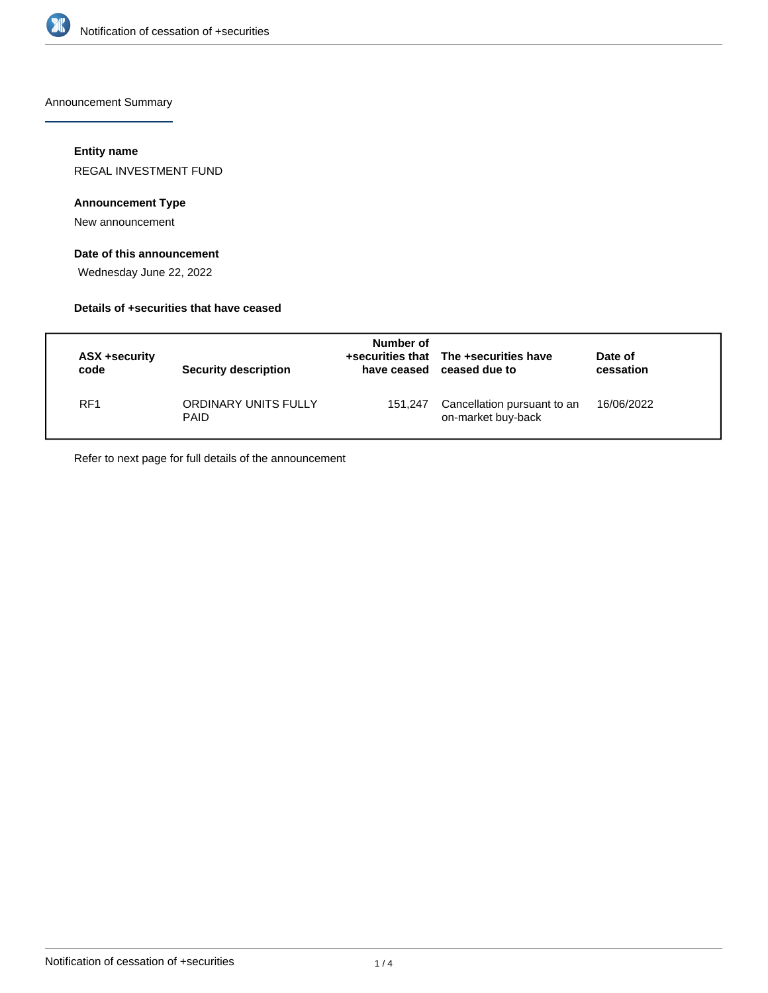

Announcement Summary

### **Entity name**

REGAL INVESTMENT FUND

### **Announcement Type**

New announcement

### **Date of this announcement**

Wednesday June 22, 2022

### **Details of +securities that have ceased**

| ASX +security<br>code | Security description                | Number of<br>have ceased | +securities that The +securities have<br>ceased due to | Date of<br>cessation |
|-----------------------|-------------------------------------|--------------------------|--------------------------------------------------------|----------------------|
| RF <sub>1</sub>       | ORDINARY UNITS FULLY<br><b>PAID</b> | 151.247                  | Cancellation pursuant to an<br>on-market buy-back      | 16/06/2022           |

Refer to next page for full details of the announcement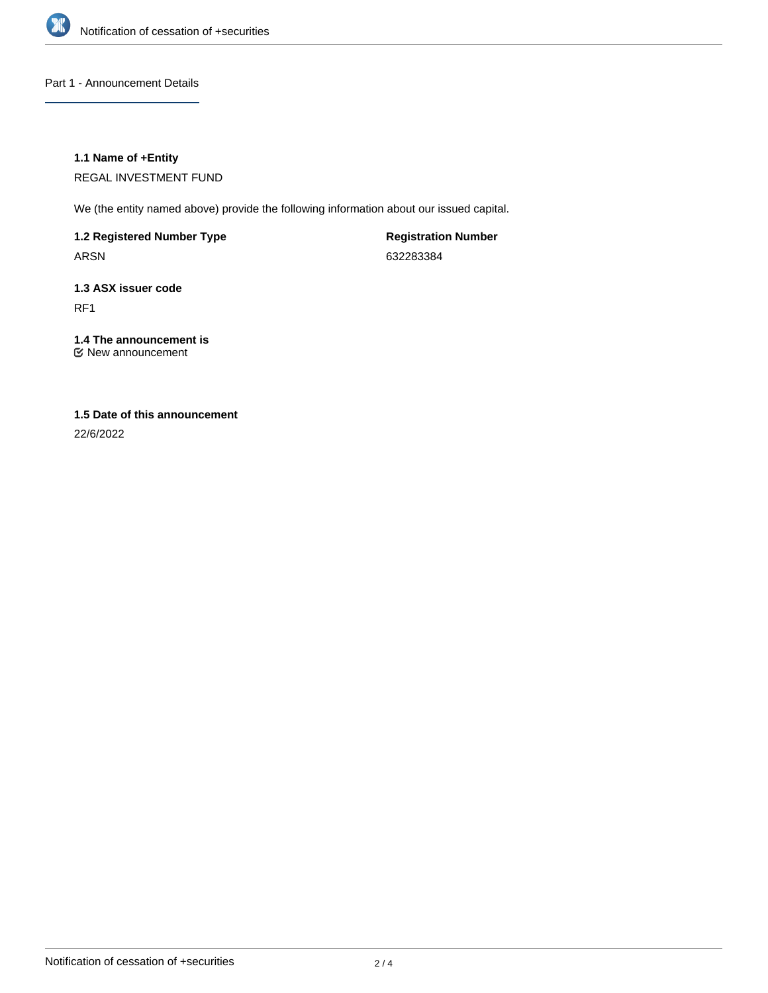

Part 1 - Announcement Details

### **1.1 Name of +Entity**

REGAL INVESTMENT FUND

We (the entity named above) provide the following information about our issued capital.

**1.2 Registered Number Type**

ARSN

**Registration Number** 632283384

## **1.3 ASX issuer code** RF1

# **1.4 The announcement is**

New announcement

## **1.5 Date of this announcement**

22/6/2022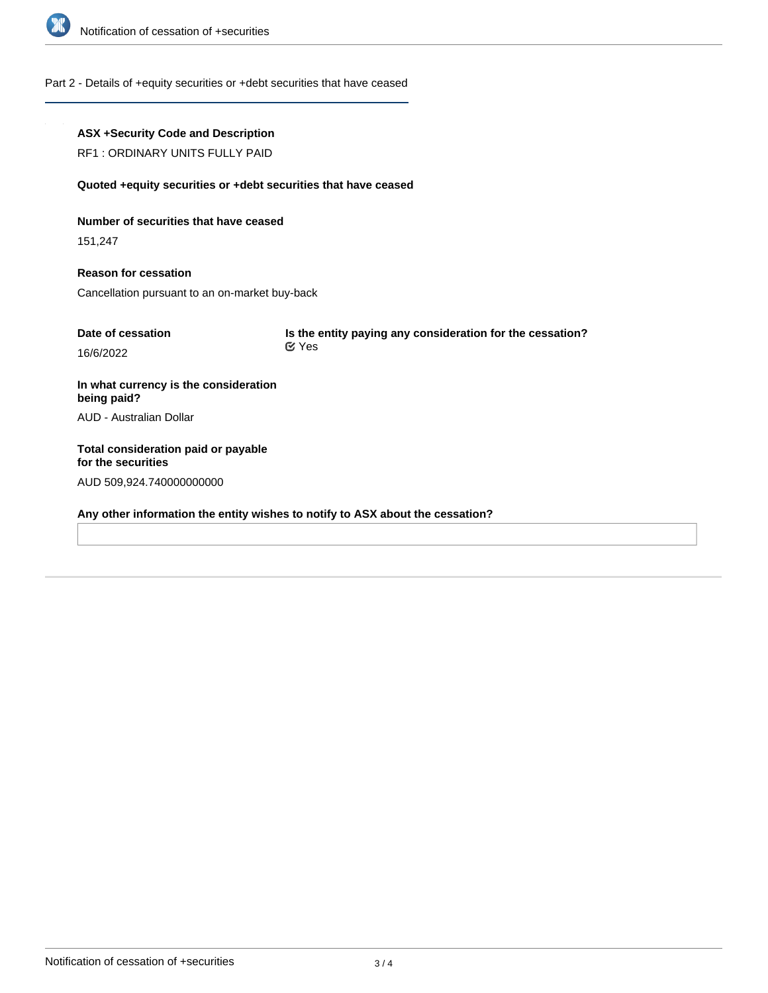

### Part 2 - Details of +equity securities or +debt securities that have ceased

### **ASX +Security Code and Description**

RF1 : ORDINARY UNITS FULLY PAID

#### **Quoted +equity securities or +debt securities that have ceased**

**Number of securities that have ceased**

151,247

**Reason for cessation** Cancellation pursuant to an on-market buy-back

| Date of cessation | Is the entity paying any consideration for the cessation? |
|-------------------|-----------------------------------------------------------|
| 16/6/2022         | <b>E</b> Yes                                              |

**In what currency is the consideration being paid?** AUD - Australian Dollar

**Total consideration paid or payable for the securities** AUD 509,924.740000000000

**Any other information the entity wishes to notify to ASX about the cessation?**